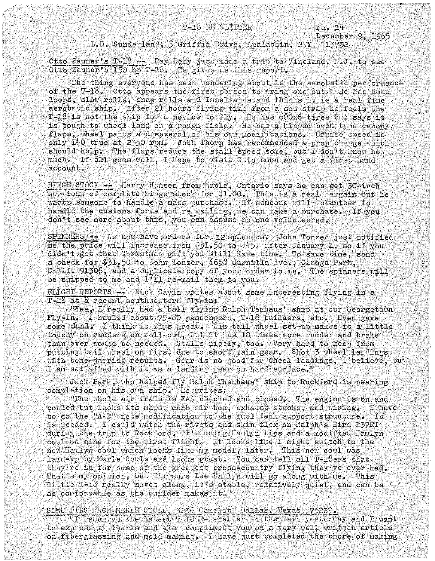$T_0$ ,  $14$ 

December 9, 1965 L.D. Sunderland, 5 Griffin Drive, Apalachin, N.Y. 13732

Otto Zauner's T-18 -- Ray Remy just made a trip to Vineland, N.J. to see Otto Zauner's 150 hp T-18. He gives us this report.

The thing everyone has been wondering about is the aerobatic performance of the T-18. Otto appears the first person to wring one put. He has done loops, slow rolls, snap rolls and Immelmanns and thinks it is a real fine aerobatic ship. After 21 hours flying time from a sod strip he feels the T-18 is not the ship for a novice to fly. He has 600x6-tires but says it is tough to wheel land on a rough field. He has a hinged back type canopy, flaps, wheel pants and several of his own modifications. Cruise speed is only 140 true at 2350 rpm. John Thorp has recommended a prop change which should help. The flaps reduce the stall speed some, but I don't know how much. If all goes well, I hope to visit Otto soon and get a first hand account.

HINGE STOCK -- Harry Hansen from Maple, Ontario says he can get 30-inch sections of complete hinge stock for \$1,00. This is a real bargain but he wants someone to handle a mass purchase. If someone will volunteer to handle the customs forms and re mailing, we can make a purchase. If you don't see more about this, you can assume no one volunteered.

SPINNERS -- We now have orders for 12 spinners. John Tonzer just notified me the price will increase from \$31.50 to \$45, after January 1, so if you didn't get that Christmas gift you still have time. To save time, send a check for \$31.50 to John Tonzer, 6653 Jurnilla Ave., Canoga Park, Calif. 91306, and a duplicate copy of your order to me. The spinners will be shipped to me and 1'11 re-mail them to you.

FLIGHT REPORTS -- Dick Cavin writes about some interesting flying in a T-18 at a recent southwestern fly-in:

"Yes, I really had a ball flying Ralph Tenhaus' ship at our Georgetown Fly-In. I hauled about 75-80 passengers, T-18 builders, etc. Even gave some dual, I think it flys great. His tail wheel set-up makes it a little touchy on rudders on roll-out, but it has 10 times more rudder and brake than ever would be needed. Stalls nicely, too. Very hard to keep from putting tail wheel on first due to short main gear. Shot 3 wheel landings with bone-jarring results. Gear is no good for wheel landings, I believe, but I am satisfied with it as a landing gear on hard surface."

Jack Park, who helped fly Ralph Thenhaus' ship to Rockford is nearing completion on his oun ship. He writes:

"The whole air frame is FAA checked and closed. The engine is on and cowled but lacks its mags, carb air box, exhaust stacks, and wiring. I have to do the "A-D" note modification to the fuel tank support structure. It is needed. I could watch the rivets and skin flex on Ralph's Bird 137RT during the trip to Rockford. I'm using Hamlyn tips and a modified Hamlyn cowl on mine for the first flight. It looks like I might switch to the new Hamlyn cowl which looks like my model, later. This new cowl was laid-up by Merle Soule and looks great. You can tell all T-18ers that they're in for some of the greatest cross-country flying they've ever had. That's my opinion, but I'm sure Lee Hamlyn will go along with me. This little T-18 really moves along, it's stable, relatively quiet, and can be as comfortable as the builder makes it."

SOME TIPS FROM MERLE SOULE, 3236 Camelot, Dallas, Texas, 75229.<br>"I recented the laters Tale Neueletter in the mail yerterday and I want to express my thanks and also compliment you on a very well written article on fiberglassing and mold making. I have just completed the chore of making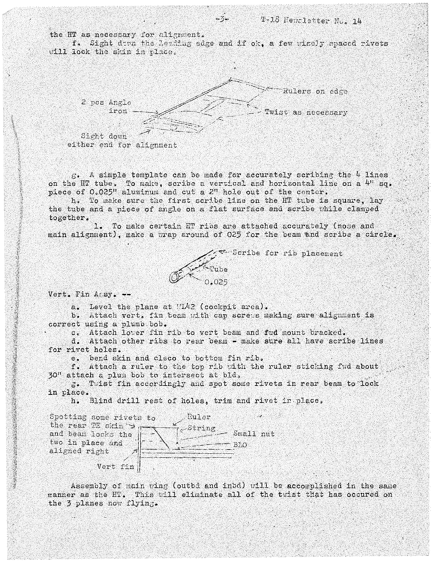the HT as necessary for alignment.

f. Sight down the leading edge and if ok, a few wisely spaced rivets will lock the skin in place.

 $-5-$ 



 $g$ . A simple template can be made for accurately scribing the 4 lines on the HT tube. To make, scribe a vertical and horizontal line on a 4" sq. piece of 0.025" aluminum and cut a 2" hole out of the center.

h. To make sure the first scribe line on the HT tube is square. lay the tube and a piece of angle on a flat surface and scribe while clamped together.

1. To make certain HT ribs are attached accurately (nose and main alignment), make a wrap around of 025 for the beam and scribe a circle.

 $\leq$  Scribe for rib placement

Vert. Fin  $A \in SY$ . --

a. Level the plane at WL42 (cockpit area).

b. Attach vert. fin beam with cap screws making sure alignment is correct using a plumb bob.

 $0.025$ 

c. Attach lower fin rib to vert beam and fwd mount bracked.

d. Attach other ribs to rear beam - make sure all have scribe lines for rivet holes.

e. bend skin and cleco to bottom fin rib.

f. Attach a ruler to the top rib with the ruler sticking fwd about 30" attach a plum bob to intersect at bld,

Tuist fin accordingly and spot some rivets in rear beam to lock  $5$ in place.

h. Blind drill rest of holes, trim and rivet in place.

Spotting some rivets to Ruler the rear TE skin  $\rightarrow$ 2-String and beam locks the Small nut two in place and BLO aligned right Vert fin $|$ 

Assembly of main wing (outbd and inbd) will be accomplished in the same manner as the HT. This will eliminate all of the twist that has occured on the 3 planes now flying.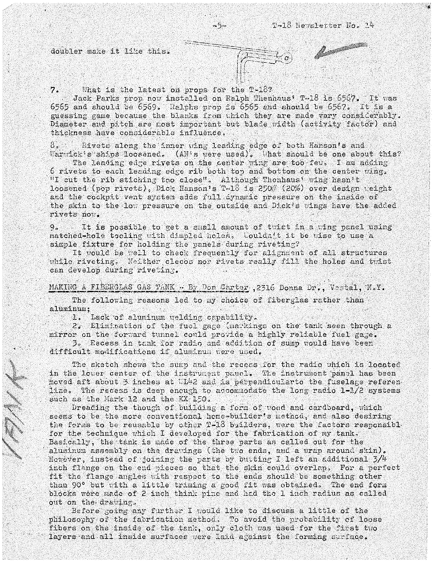## doubler make it like this.

1 KJ M

## What is the latest on props for the T-18?  $7.$

Jack Parks prop now installed on Ralph Thenhaus' T-18 is 6567. It was 6565 and should be 6569. Ralphs prop is 6565 and should be 6567. It is a guessing game because the blanks from which they are made vary considerably. Diameter and pitch are most important but blade width (activity factor) and thickness have considerable influence,

 $-5 -$ 

8. Rivets along the inner wing leading edge of both Hanson's and Warwick's'ships locsened. (AN's were used). What should be one about this?

The leading edge rivets on the center wing are too few. I am adding 6 rivets to each leading edge rib both top and bottom on the center wing. "I cut the rib stiching too close". Although Thenhaus' wing hasn't loosened (pop rivets), Dick Hanson's T-18 is 250# (20%) over design weight and the cockpit vent system adds full dynamic pressure on the inside of the skin to the low pressure on the outside and Dick's wings have the added rivets now.

It is possible to get a small amount of twist in a wing panel using  $\Theta_{\alpha}$ matched-hole tooling with dimpled holes, wouldn't it be wise to use a simple fixture for holding the panels during riveting?

It would be well to check frequently for alignment of all structures while riveting. Neither clecos nor rivets really fill the holes and twist can develop during riveting.

## MAKING A FIBERGLAS GAS TANK - By Don Carter , 2316 Donna Dr., Vestal, N.Y.

The following reasons led to my choice of fiberglas rather than aluminum;

1. Lack of aluminum welding capability.

2. Elimination of the fuel gage (markings on the tank seen through a mirror on the forward tunnel could provide a highly reliable fuel gage. 3. Eecess in tank for radio and addition of sump would have been difficult modifications if aluminum were used.

The sketch shows the sump and the recess for the radio which is located in the lower center of the instrument pauel. The instrument panel has been moved aft about 3 inches at  $UL42$  and is perpendicularto the fuselage referen line. The recess is deep enough to accommodate the long radio 1-1/2 systems such as the Mark 12 and the KX 150.

Dreading the though of building a form of wood and cardboard, which seems to be the more conventional home-builder's method, and also desiring the forms to be reusable by other T-13 builders, were the factors responsible for the technique which I developed for the fabrication of my tank. Basically, the tank is made of the three parts as called out for the aluminum assembly on the drawings (the two ends, and a wrap around skin). However, instead of joining the parts by butting I left an additional 3/4 inch flange on the end pieces so that the skin could overlap. For a perfect fit the flange angles with respect to the ends should be something other than 90° but with a little triming a good fit was obtained. The end form blocks were made of 2 inch think pine and had the 1 inch radius as called out on the drawing.

Before going any further I would like to discuss a little of the philosophy of the fabrication method. To avoid the probability of loose fibers on the inside of the tank, only cloth was used for the first two layers and all inside surfaces were laid against the forming surface.